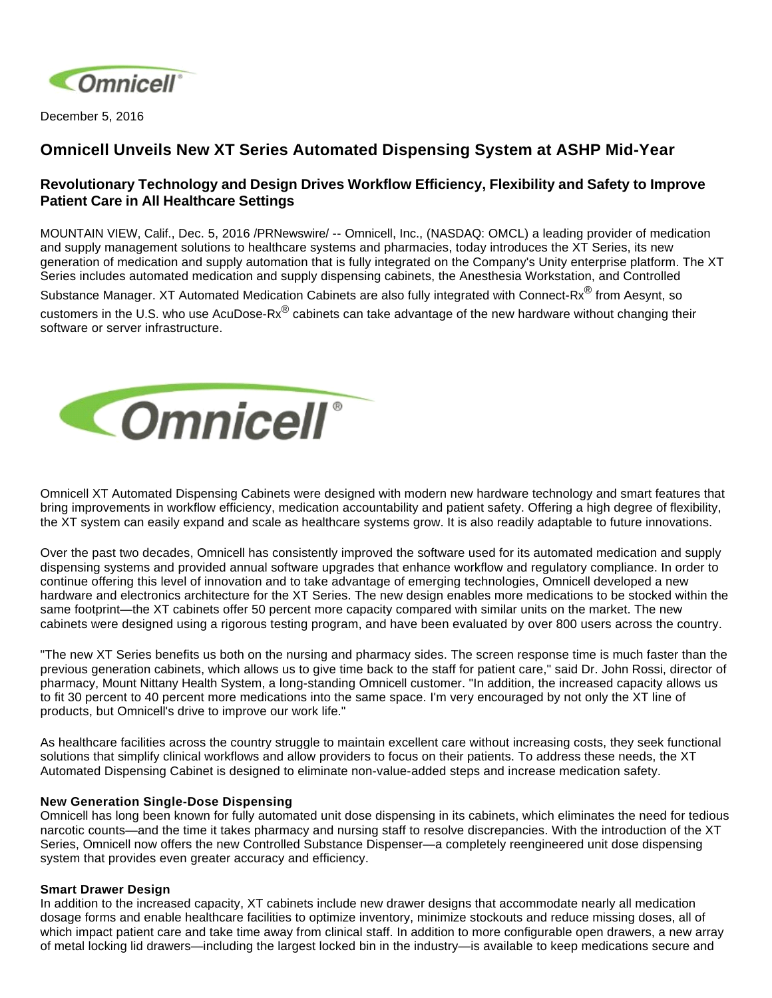

December 5, 2016

# **Omnicell Unveils New XT Series Automated Dispensing System at ASHP Mid-Year**

# **Revolutionary Technology and Design Drives Workflow Efficiency, Flexibility and Safety to Improve Patient Care in All Healthcare Settings**

MOUNTAIN VIEW, Calif., Dec. 5, 2016 /PRNewswire/ -- Omnicell, Inc., (NASDAQ: OMCL) a leading provider of medication and supply management solutions to healthcare systems and pharmacies, today introduces the XT Series, its new generation of medication and supply automation that is fully integrated on the Company's Unity enterprise platform. The XT Series includes automated medication and supply dispensing cabinets, the Anesthesia Workstation, and Controlled

Substance Manager. XT Automated Medication Cabinets are also fully integrated with Connect-Rx<sup>®</sup> from Aesynt, so customers in the U.S. who use AcuDose-Rx® cabinets can take advantage of the new hardware without changing their software or server infrastructure.



Omnicell XT Automated Dispensing Cabinets were designed with modern new hardware technology and smart features that bring improvements in workflow efficiency, medication accountability and patient safety. Offering a high degree of flexibility, the XT system can easily expand and scale as healthcare systems grow. It is also readily adaptable to future innovations.

Over the past two decades, Omnicell has consistently improved the software used for its automated medication and supply dispensing systems and provided annual software upgrades that enhance workflow and regulatory compliance. In order to continue offering this level of innovation and to take advantage of emerging technologies, Omnicell developed a new hardware and electronics architecture for the XT Series. The new design enables more medications to be stocked within the same footprint—the XT cabinets offer 50 percent more capacity compared with similar units on the market. The new cabinets were designed using a rigorous testing program, and have been evaluated by over 800 users across the country.

"The new XT Series benefits us both on the nursing and pharmacy sides. The screen response time is much faster than the previous generation cabinets, which allows us to give time back to the staff for patient care," said Dr. John Rossi, director of pharmacy, Mount Nittany Health System, a long-standing Omnicell customer. "In addition, the increased capacity allows us to fit 30 percent to 40 percent more medications into the same space. I'm very encouraged by not only the XT line of products, but Omnicell's drive to improve our work life."

As healthcare facilities across the country struggle to maintain excellent care without increasing costs, they seek functional solutions that simplify clinical workflows and allow providers to focus on their patients. To address these needs, the XT Automated Dispensing Cabinet is designed to eliminate non-value-added steps and increase medication safety.

### **New Generation Single-Dose Dispensing**

Omnicell has long been known for fully automated unit dose dispensing in its cabinets, which eliminates the need for tedious narcotic counts—and the time it takes pharmacy and nursing staff to resolve discrepancies. With the introduction of the XT Series, Omnicell now offers the new Controlled Substance Dispenser—a completely reengineered unit dose dispensing system that provides even greater accuracy and efficiency.

### **Smart Drawer Design**

In addition to the increased capacity, XT cabinets include new drawer designs that accommodate nearly all medication dosage forms and enable healthcare facilities to optimize inventory, minimize stockouts and reduce missing doses, all of which impact patient care and take time away from clinical staff. In addition to more configurable open drawers, a new array of metal locking lid drawers—including the largest locked bin in the industry—is available to keep medications secure and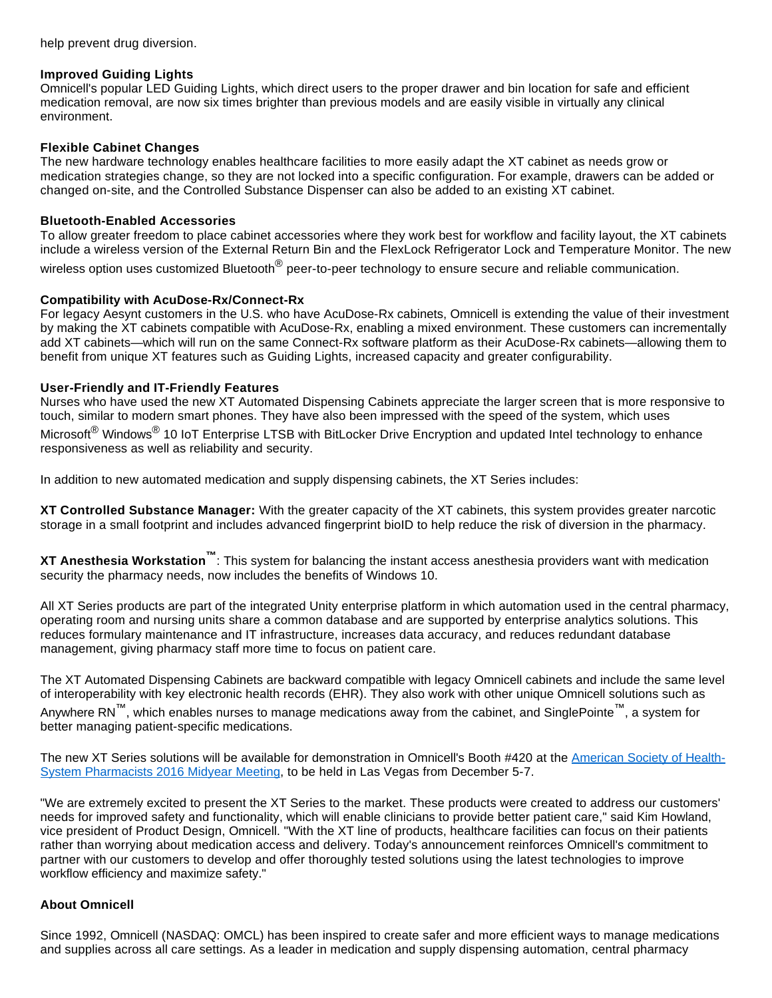help prevent drug diversion.

#### **Improved Guiding Lights**

Omnicell's popular LED Guiding Lights, which direct users to the proper drawer and bin location for safe and efficient medication removal, are now six times brighter than previous models and are easily visible in virtually any clinical environment.

### **Flexible Cabinet Changes**

The new hardware technology enables healthcare facilities to more easily adapt the XT cabinet as needs grow or medication strategies change, so they are not locked into a specific configuration. For example, drawers can be added or changed on-site, and the Controlled Substance Dispenser can also be added to an existing XT cabinet.

## **Bluetooth-Enabled Accessories**

To allow greater freedom to place cabinet accessories where they work best for workflow and facility layout, the XT cabinets include a wireless version of the External Return Bin and the FlexLock Refrigerator Lock and Temperature Monitor. The new wireless option uses customized Bluetooth<sup>®</sup> peer-to-peer technology to ensure secure and reliable communication.

#### **Compatibility with AcuDose-Rx/Connect-Rx**

For legacy Aesynt customers in the U.S. who have AcuDose-Rx cabinets, Omnicell is extending the value of their investment by making the XT cabinets compatible with AcuDose-Rx, enabling a mixed environment. These customers can incrementally add XT cabinets—which will run on the same Connect-Rx software platform as their AcuDose-Rx cabinets—allowing them to benefit from unique XT features such as Guiding Lights, increased capacity and greater configurability.

### **User-Friendly and IT-Friendly Features**

Nurses who have used the new XT Automated Dispensing Cabinets appreciate the larger screen that is more responsive to touch, similar to modern smart phones. They have also been impressed with the speed of the system, which uses Microsoft<sup>®</sup> Windows<sup>®</sup> 10 IoT Enterprise LTSB with BitLocker Drive Encryption and updated Intel technology to enhance responsiveness as well as reliability and security.

In addition to new automated medication and supply dispensing cabinets, the XT Series includes:

**XT Controlled Substance Manager:** With the greater capacity of the XT cabinets, this system provides greater narcotic storage in a small footprint and includes advanced fingerprint bioID to help reduce the risk of diversion in the pharmacy.

**XT Anesthesia Workstation™**: This system for balancing the instant access anesthesia providers want with medication security the pharmacy needs, now includes the benefits of Windows 10.

All XT Series products are part of the integrated Unity enterprise platform in which automation used in the central pharmacy, operating room and nursing units share a common database and are supported by enterprise analytics solutions. This reduces formulary maintenance and IT infrastructure, increases data accuracy, and reduces redundant database management, giving pharmacy staff more time to focus on patient care.

The XT Automated Dispensing Cabinets are backward compatible with legacy Omnicell cabinets and include the same level of interoperability with key electronic health records (EHR). They also work with other unique Omnicell solutions such as Anywhere RN™, which enables nurses to manage medications away from the cabinet, and SinglePointe™, a system for better managing patient-specific medications.

The new XT Series solutions will be available for demonstration in Omnicell's Booth #420 at the [American Society of Health-](http://connect.ashp.org/midyear/home?ssopc=1)[System Pharmacists 2016 Midyear Meeting](http://connect.ashp.org/midyear/home?ssopc=1), to be held in Las Vegas from December 5-7.

"We are extremely excited to present the XT Series to the market. These products were created to address our customers' needs for improved safety and functionality, which will enable clinicians to provide better patient care," said Kim Howland, vice president of Product Design, Omnicell. "With the XT line of products, healthcare facilities can focus on their patients rather than worrying about medication access and delivery. Today's announcement reinforces Omnicell's commitment to partner with our customers to develop and offer thoroughly tested solutions using the latest technologies to improve workflow efficiency and maximize safety."

### **About Omnicell**

Since 1992, Omnicell (NASDAQ: OMCL) has been inspired to create safer and more efficient ways to manage medications and supplies across all care settings. As a leader in medication and supply dispensing automation, central pharmacy